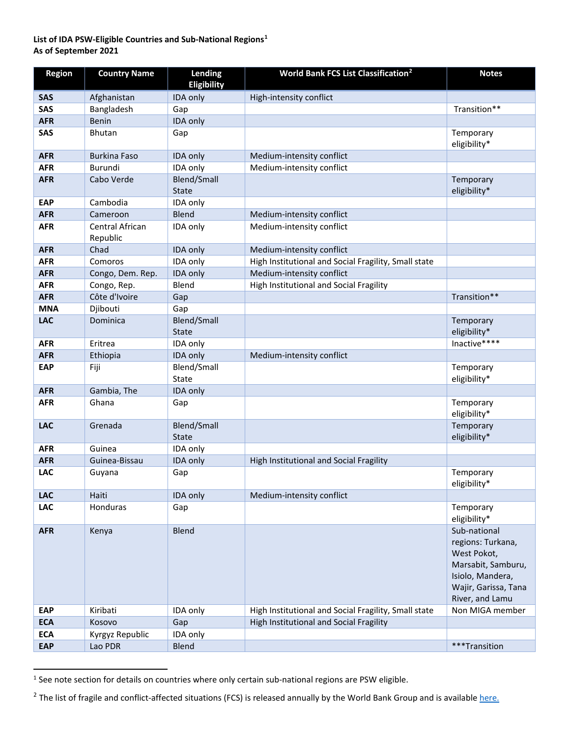## **List of IDA PSW-Eligible Countries and Sub-National Regions[1](#page-0-0) As of September 2021**

| <b>Region</b> | <b>Country Name</b>         | Lending                     | <b>World Bank FCS List Classification<sup>2</sup></b> | <b>Notes</b>                                                                                                                          |
|---------------|-----------------------------|-----------------------------|-------------------------------------------------------|---------------------------------------------------------------------------------------------------------------------------------------|
|               |                             | <b>Eligibility</b>          |                                                       |                                                                                                                                       |
| <b>SAS</b>    | Afghanistan                 | IDA only                    | High-intensity conflict                               |                                                                                                                                       |
| SAS           | Bangladesh                  | Gap                         |                                                       | Transition**                                                                                                                          |
| <b>AFR</b>    | <b>Benin</b>                | IDA only                    |                                                       |                                                                                                                                       |
| SAS           | <b>Bhutan</b>               | Gap                         |                                                       | Temporary<br>eligibility*                                                                                                             |
| <b>AFR</b>    | <b>Burkina Faso</b>         | IDA only                    | Medium-intensity conflict                             |                                                                                                                                       |
| <b>AFR</b>    | Burundi                     | IDA only                    | Medium-intensity conflict                             |                                                                                                                                       |
| <b>AFR</b>    | Cabo Verde                  | Blend/Small<br><b>State</b> |                                                       | Temporary<br>eligibility*                                                                                                             |
| <b>EAP</b>    | Cambodia                    | IDA only                    |                                                       |                                                                                                                                       |
| <b>AFR</b>    | Cameroon                    | Blend                       | Medium-intensity conflict                             |                                                                                                                                       |
| <b>AFR</b>    | Central African<br>Republic | IDA only                    | Medium-intensity conflict                             |                                                                                                                                       |
| <b>AFR</b>    | Chad                        | IDA only                    | Medium-intensity conflict                             |                                                                                                                                       |
| <b>AFR</b>    | Comoros                     | IDA only                    | High Institutional and Social Fragility, Small state  |                                                                                                                                       |
| <b>AFR</b>    | Congo, Dem. Rep.            | IDA only                    | Medium-intensity conflict                             |                                                                                                                                       |
| <b>AFR</b>    | Congo, Rep.                 | Blend                       | High Institutional and Social Fragility               |                                                                                                                                       |
| <b>AFR</b>    | Côte d'Ivoire               | Gap                         |                                                       | Transition**                                                                                                                          |
| <b>MNA</b>    | Djibouti                    | Gap                         |                                                       |                                                                                                                                       |
| <b>LAC</b>    | Dominica                    | Blend/Small<br><b>State</b> |                                                       | Temporary<br>eligibility*                                                                                                             |
| <b>AFR</b>    | Eritrea                     | IDA only                    |                                                       | Inactive****                                                                                                                          |
| <b>AFR</b>    | Ethiopia                    | IDA only                    | Medium-intensity conflict                             |                                                                                                                                       |
| <b>EAP</b>    | Fiji                        | Blend/Small<br>State        |                                                       | Temporary<br>eligibility*                                                                                                             |
| <b>AFR</b>    | Gambia, The                 | IDA only                    |                                                       |                                                                                                                                       |
| <b>AFR</b>    | Ghana                       | Gap                         |                                                       | Temporary<br>eligibility*                                                                                                             |
| <b>LAC</b>    | Grenada                     | Blend/Small<br><b>State</b> |                                                       | Temporary<br>eligibility*                                                                                                             |
| <b>AFR</b>    | Guinea                      | IDA only                    |                                                       |                                                                                                                                       |
| <b>AFR</b>    | Guinea-Bissau               | IDA only                    | High Institutional and Social Fragility               |                                                                                                                                       |
| LAC           | Guyana                      | Gap                         |                                                       | Temporary<br>eligibility*                                                                                                             |
| <b>LAC</b>    | Haiti                       | IDA only                    | Medium-intensity conflict                             |                                                                                                                                       |
| <b>LAC</b>    | Honduras                    | Gap                         |                                                       | Temporary<br>eligibility*                                                                                                             |
| <b>AFR</b>    | Kenya                       | Blend                       |                                                       | Sub-national<br>regions: Turkana,<br>West Pokot,<br>Marsabit, Samburu,<br>Isiolo, Mandera,<br>Wajir, Garissa, Tana<br>River, and Lamu |
| <b>EAP</b>    | Kiribati                    | IDA only                    | High Institutional and Social Fragility, Small state  | Non MIGA member                                                                                                                       |
| <b>ECA</b>    | Kosovo                      | Gap                         | High Institutional and Social Fragility               |                                                                                                                                       |
| <b>ECA</b>    | Kyrgyz Republic             | IDA only                    |                                                       |                                                                                                                                       |
| <b>EAP</b>    | Lao PDR                     | Blend                       |                                                       | ***Transition                                                                                                                         |

<span id="page-0-0"></span><sup>&</sup>lt;sup>1</sup> See note section for details on countries where only certain sub-national regions are PSW eligible.

<span id="page-0-1"></span><sup>&</sup>lt;sup>2</sup> The list of fragile and conflict-affected situations (FCS) is released annually by the World Bank Group and is available [here.](http://pubdocs.worldbank.org/en/888211594267968803/FCSList-FY21.pdf)